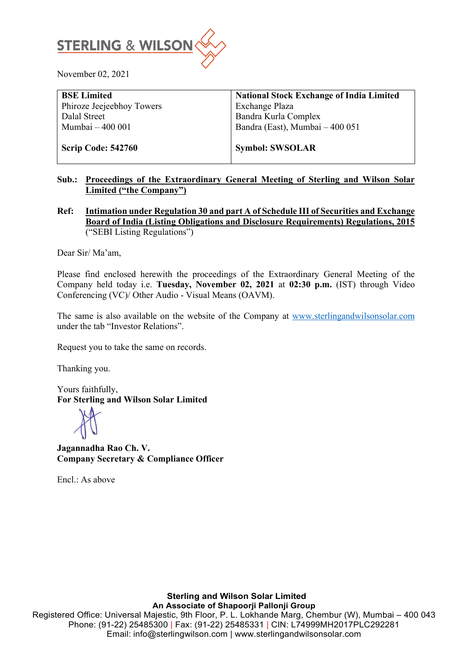

November 02, 2021

| <b>National Stock Exchange of India Limited</b> |
|-------------------------------------------------|
| Exchange Plaza                                  |
| Bandra Kurla Complex                            |
| Bandra (East), Mumbai - 400 051                 |
|                                                 |
| <b>Symbol: SWSOLAR</b>                          |
|                                                 |

## **Sub.: Proceedings of the Extraordinary General Meeting of Sterling and Wilson Solar Limited ("the Company")**

**Ref: Intimation under Regulation 30 and part A of Schedule III of Securities and Exchange Board of India (Listing Obligations and Disclosure Requirements) Regulations, 2015** ("SEBI Listing Regulations")

Dear Sir/ Ma'am,

Please find enclosed herewith the proceedings of the Extraordinary General Meeting of the Company held today i.e. **Tuesday, November 02, 2021** at **02:30 p.m.** (IST) through Video Conferencing (VC)/ Other Audio - Visual Means (OAVM).

The same is also available on the website of the Company at [www.sterlingandwilsonsolar.com](http://www.sterlingandwilsonsolar.com/) under the tab "Investor Relations".

Request you to take the same on records.

Thanking you.

Yours faithfully, **For Sterling and Wilson Solar Limited** 

**Jagannadha Rao Ch. V. Company Secretary & Compliance Officer**

Encl.: As above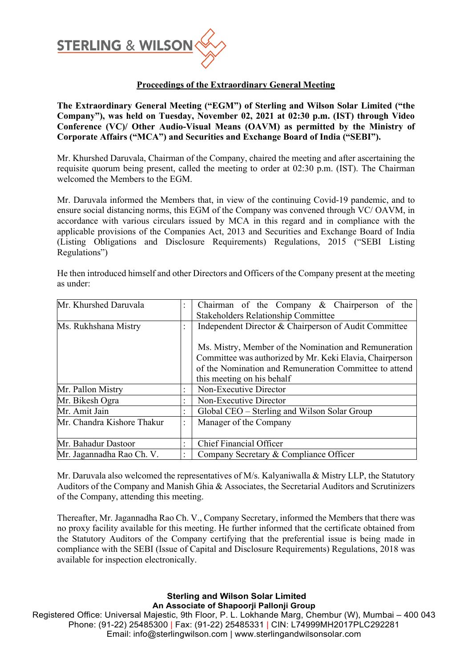

## **Proceedings of the Extraordinary General Meeting**

**The Extraordinary General Meeting ("EGM") of Sterling and Wilson Solar Limited ("the Company"), was held on Tuesday, November 02, 2021 at 02:30 p.m. (IST) through Video Conference (VC)/ Other Audio-Visual Means (OAVM) as permitted by the Ministry of Corporate Affairs ("MCA") and Securities and Exchange Board of India ("SEBI").**

Mr. Khurshed Daruvala, Chairman of the Company, chaired the meeting and after ascertaining the requisite quorum being present, called the meeting to order at 02:30 p.m. (IST). The Chairman welcomed the Members to the EGM.

Mr. Daruvala informed the Members that, in view of the continuing Covid-19 pandemic, and to ensure social distancing norms, this EGM of the Company was convened through VC/ OAVM, in accordance with various circulars issued by MCA in this regard and in compliance with the applicable provisions of the Companies Act, 2013 and Securities and Exchange Board of India (Listing Obligations and Disclosure Requirements) Regulations, 2015 ("SEBI Listing Regulations")

He then introduced himself and other Directors and Officers of the Company present at the meeting as under:

| Mr. Khurshed Daruvala      | $\ddot{\cdot}$ | Chairman of the Company & Chairperson of the                                                                                                                                                              |
|----------------------------|----------------|-----------------------------------------------------------------------------------------------------------------------------------------------------------------------------------------------------------|
|                            |                | <b>Stakeholders Relationship Committee</b>                                                                                                                                                                |
| Ms. Rukhshana Mistry       | $\ddot{\cdot}$ | Independent Director & Chairperson of Audit Committee                                                                                                                                                     |
|                            |                | Ms. Mistry, Member of the Nomination and Remuneration<br>Committee was authorized by Mr. Keki Elavia, Chairperson<br>of the Nomination and Remuneration Committee to attend<br>this meeting on his behalf |
| Mr. Pallon Mistry          | $\ddot{\cdot}$ | Non-Executive Director                                                                                                                                                                                    |
| Mr. Bikesh Ogra            | $\ddot{\cdot}$ | Non-Executive Director                                                                                                                                                                                    |
| Mr. Amit Jain              | $\ddot{\cdot}$ | Global CEO – Sterling and Wilson Solar Group                                                                                                                                                              |
| Mr. Chandra Kishore Thakur | $\ddot{\cdot}$ | Manager of the Company                                                                                                                                                                                    |
| Mr. Bahadur Dastoor        | $\ddot{\cdot}$ | <b>Chief Financial Officer</b>                                                                                                                                                                            |
| Mr. Jagannadha Rao Ch. V.  | $\ddot{\cdot}$ | Company Secretary & Compliance Officer                                                                                                                                                                    |

Mr. Daruvala also welcomed the representatives of  $M/s$ . Kalyaniwalla & Mistry LLP, the Statutory Auditors of the Company and Manish Ghia & Associates, the Secretarial Auditors and Scrutinizers of the Company, attending this meeting.

Thereafter, Mr. Jagannadha Rao Ch. V., Company Secretary, informed the Members that there was no proxy facility available for this meeting. He further informed that the certificate obtained from the Statutory Auditors of the Company certifying that the preferential issue is being made in compliance with the SEBI (Issue of Capital and Disclosure Requirements) Regulations, 2018 was available for inspection electronically.

## **Sterling and Wilson Solar Limited An Associate of Shapoorji Pallonji Group**

Registered Office: Universal Majestic, 9th Floor, P. L. Lokhande Marg, Chembur (W), Mumbai – 400 043 Phone: (91-22) 25485300 | Fax: (91-22) 25485331 | CIN: L74999MH2017PLC292281 Email: info@sterlingwilson.com | www.sterlingandwilsonsolar.com